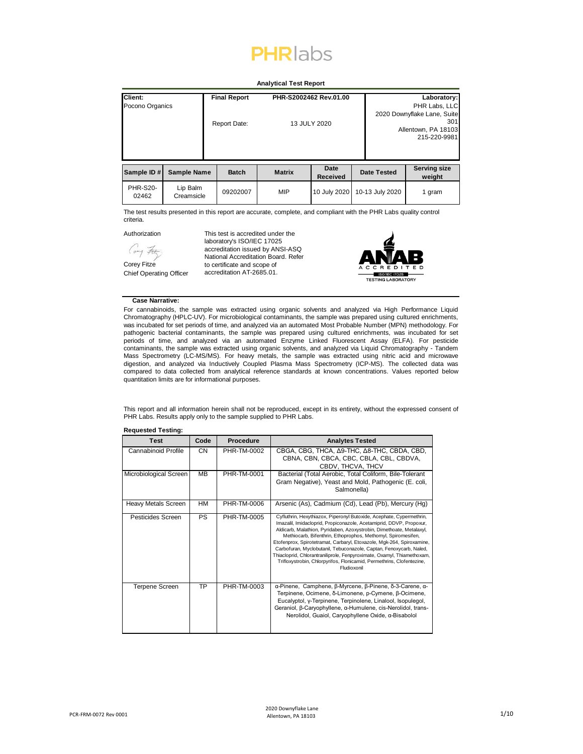# **PHR**labs

#### **Analytical Test Report**

| Client:<br>Pocono Organics |                        | <b>Final Report</b><br>Report Date: |               | PHR-S2002462 Rev.01.00<br>13 JULY 2020 |                    | Laboratory:<br>PHR Labs, LLC<br>2020 Downyflake Lane, Suite<br>301<br>Allentown, PA 18103<br>215-220-9981 |
|----------------------------|------------------------|-------------------------------------|---------------|----------------------------------------|--------------------|-----------------------------------------------------------------------------------------------------------|
| Sample ID#                 | <b>Sample Name</b>     | <b>Batch</b>                        | <b>Matrix</b> | Date<br><b>Received</b>                | <b>Date Tested</b> | <b>Serving size</b><br>weight                                                                             |
| <b>PHR-S20-</b><br>02462   | Lip Balm<br>Creamsicle | 09202007                            | <b>MIP</b>    | 10 July 2020                           | 10-13 July 2020    | 1 gram                                                                                                    |

The test results presented in this report are accurate, complete, and compliant with the PHR Labs quality control criteria.



Authorization This test is accredited under the laboratory's ISO/IEC 17025 accreditation issued by ANSI-ASQ National Accreditation Board. Refer to certificate and scope of accreditation AT-2685.01.



# **Case Narrative:**

Chief Operating Officer

For cannabinoids, the sample was extracted using organic solvents and analyzed via High Performance Liquid Chromatography (HPLC-UV). For microbiological contaminants, the sample was prepared using cultured enrichments, was incubated for set periods of time, and analyzed via an automated Most Probable Number (MPN) methodology. For pathogenic bacterial contaminants, the sample was prepared using cultured enrichments, was incubated for set periods of time, and analyzed via an automated Enzyme Linked Fluorescent Assay (ELFA). For pesticide contaminants, the sample was extracted using organic solvents, and analyzed via Liquid Chromatography - Tandem Mass Spectrometry (LC-MS/MS). For heavy metals, the sample was extracted using nitric acid and microwave digestion, and analyzed via Inductively Coupled Plasma Mass Spectrometry (ICP-MS). The collected data was compared to data collected from analytical reference standards at known concentrations. Values reported below quantitation limits are for informational purposes.

This report and all information herein shall not be reproduced, except in its entirety, without the expressed consent of PHR Labs. Results apply only to the sample supplied to PHR Labs.

#### **Requested Testing:**

| <b>Test</b>                | Code      | <b>Procedure</b> | <b>Analytes Tested</b>                                                                                                                                                                                                                                                                                                                                                                                                                                                                                                                                                                               |
|----------------------------|-----------|------------------|------------------------------------------------------------------------------------------------------------------------------------------------------------------------------------------------------------------------------------------------------------------------------------------------------------------------------------------------------------------------------------------------------------------------------------------------------------------------------------------------------------------------------------------------------------------------------------------------------|
| Cannabinoid Profile        | CN.       | PHR-TM-0002      | CBGA, CBG, THCA, A9-THC, A8-THC, CBDA, CBD,<br>CBNA, CBN, CBCA, CBC, CBLA, CBL, CBDVA,<br>CBDV, THCVA, THCV                                                                                                                                                                                                                                                                                                                                                                                                                                                                                          |
| Microbiological Screen     | MB        | PHR-TM-0001      | Bacterial (Total Aerobic, Total Coliform, Bile-Tolerant<br>Gram Negative), Yeast and Mold, Pathogenic (E. coli,<br>Salmonella)                                                                                                                                                                                                                                                                                                                                                                                                                                                                       |
| <b>Heavy Metals Screen</b> | <b>HM</b> | PHR-TM-0006      | Arsenic (As), Cadmium (Cd), Lead (Pb), Mercury (Hg)                                                                                                                                                                                                                                                                                                                                                                                                                                                                                                                                                  |
| Pesticides Screen          | <b>PS</b> | PHR-TM-0005      | Cyfluthrin, Hexythiazox, Piperonyl Butoxide, Acephate, Cypermethrin,<br>Imazalil, Imidacloprid, Propiconazole, Acetamiprid, DDVP, Propoxur,<br>Aldicarb, Malathion, Pyridaben, Azoxystrobin, Dimethoate, Metalaxyl,<br>Methiocarb, Bifenthrin, Ethoprophos, Methomyl, Spiromesifen,<br>Etofenprox, Spirotetramat, Carbaryl, Etoxazole, Mgk-264, Spiroxamine,<br>Carbofuran, Myclobutanil, Tebuconazole, Captan, Fenoxycarb, Naled,<br>Thiacloprid, Chlorantraniliprole, Fenpyroximate, Oxamyl, Thiamethoxam,<br>Trifloxystrobin, Chlorpyrifos, Flonicamid, Permethrins, Clofentezine,<br>Fludioxonil |
| Terpene Screen             | TP        | PHR-TM-0003      | α-Pinene, Camphene, β-Myrcene, β-Pinene, δ-3-Carene, α-<br>Terpinene, Ocimene, δ-Limonene, p-Cymene, β-Ocimene,<br>Eucalyptol, y-Terpinene, Terpinolene, Linalool, Isopulegol,<br>Geraniol, β-Caryophyllene, α-Humulene, cis-Nerolidol, trans-<br>Nerolidol, Guaiol, Caryophyllene Oxide, a-Bisabolol                                                                                                                                                                                                                                                                                                |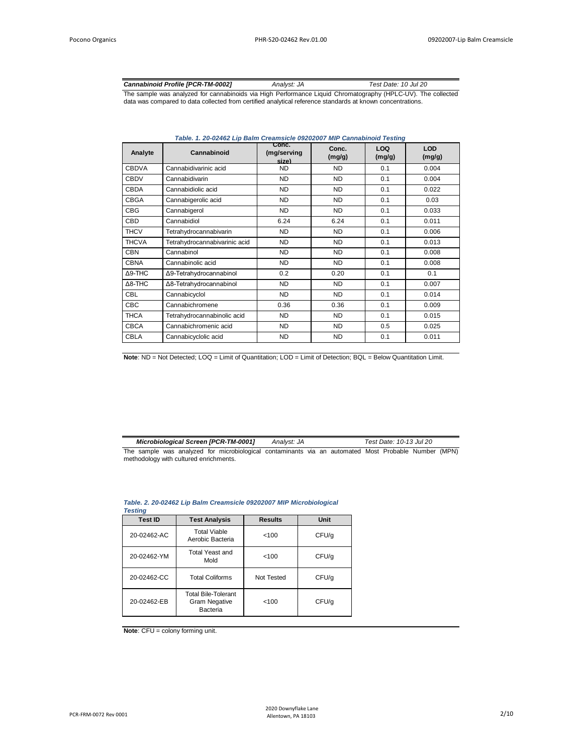| <b>Cannabinoid Profile IPCR-TM-00021</b>                                                                   | Analyst: JA | Test Date: 10 Jul 20                                                                                         |
|------------------------------------------------------------------------------------------------------------|-------------|--------------------------------------------------------------------------------------------------------------|
|                                                                                                            |             | The sample was analyzed for cannabinoids via High Performance Liquid Chromatography (HPLC-UV). The collected |
| data was compared to data collected from certified analytical reference standards at known concentrations. |             |                                                                                                              |

|  |  |  | Table. 1. 20-02462 Lip Balm Creamsicle 09202007 MIP Cannabinoid Testing |  |
|--|--|--|-------------------------------------------------------------------------|--|
|  |  |  |                                                                         |  |

| Analyte        | Cannabinoid                   | Conc.<br>(mg/serving<br>size) | Conc.<br>(mg/g) | <b>LOQ</b><br>(mg/g) | <b>LOD</b><br>(mg/g) |
|----------------|-------------------------------|-------------------------------|-----------------|----------------------|----------------------|
| <b>CBDVA</b>   | Cannabidivarinic acid         | <b>ND</b>                     | <b>ND</b>       | 0.1                  | 0.004                |
| <b>CBDV</b>    | Cannabidivarin                | <b>ND</b>                     | <b>ND</b>       | 0.1                  | 0.004                |
| <b>CBDA</b>    | Cannabidiolic acid            | <b>ND</b>                     | <b>ND</b>       | 0.1                  | 0.022                |
| <b>CBGA</b>    | Cannabigerolic acid           | <b>ND</b>                     | <b>ND</b>       | 0.1                  | 0.03                 |
| <b>CBG</b>     | Cannabigerol                  | <b>ND</b>                     | <b>ND</b>       | 0.1                  | 0.033                |
| <b>CBD</b>     | Cannabidiol                   | 6.24                          | 6.24            | 0.1                  | 0.011                |
| <b>THCV</b>    | Tetrahydrocannabivarin        | <b>ND</b>                     | <b>ND</b>       | 0.1                  | 0.006                |
| <b>THCVA</b>   | Tetrahydrocannabivarinic acid | <b>ND</b>                     | <b>ND</b>       | 0.1                  | 0.013                |
| <b>CBN</b>     | Cannabinol                    | <b>ND</b>                     | <b>ND</b>       | 0.1                  | 0.008                |
| <b>CBNA</b>    | Cannabinolic acid             | <b>ND</b>                     | <b>ND</b>       | 0.1                  | 0.008                |
| $\Delta$ 9-THC | ∆9-Tetrahydrocannabinol       | 0.2                           | 0.20            | 0.1                  | 0.1                  |
| $\Delta$ 8-THC | Δ8-Tetrahydrocannabinol       | <b>ND</b>                     | <b>ND</b>       | 0.1                  | 0.007                |
| <b>CBL</b>     | Cannabicyclol                 | <b>ND</b>                     | <b>ND</b>       | 0.1                  | 0.014                |
| <b>CBC</b>     | Cannabichromene               | 0.36                          | 0.36            | 0.1                  | 0.009                |
| <b>THCA</b>    | Tetrahydrocannabinolic acid   | <b>ND</b>                     | <b>ND</b>       | 0.1                  | 0.015                |
| <b>CBCA</b>    | Cannabichromenic acid         | ND                            | <b>ND</b>       | 0.5                  | 0.025                |
| <b>CBLA</b>    | Cannabicyclolic acid          | <b>ND</b>                     | <b>ND</b>       | 0.1                  | 0.011                |

**Note**: ND = Not Detected; LOQ = Limit of Quantitation; LOD = Limit of Detection; BQL = Below Quantitation Limit.

| <b>Microbiological Screen (PCR-TM-0001)</b> |  |  |  | Analvst: JA                                                                                          | Test Date: 10-13 Jul 20 |  |  |  |  |  |  |  |
|---------------------------------------------|--|--|--|------------------------------------------------------------------------------------------------------|-------------------------|--|--|--|--|--|--|--|
|                                             |  |  |  | The sample was analyzed for microbiological contaminants via an automated Most Probable Number (MPN) |                         |  |  |  |  |  |  |  |
| methodology with cultured enrichments.      |  |  |  |                                                                                                      |                         |  |  |  |  |  |  |  |

| Testina                                |                                                                |                |             |  |
|----------------------------------------|----------------------------------------------------------------|----------------|-------------|--|
| <b>Test ID</b>                         | <b>Test Analysis</b>                                           | <b>Results</b> | <b>Unit</b> |  |
| 20-02462-AC                            | <b>Total Viable</b><br>Aerobic Bacteria                        | <100           | CFU/g       |  |
| Total Yeast and<br>20-02462-YM<br>Mold |                                                                | <100           | CFU/g       |  |
| 20-02462-CC                            | <b>Total Coliforms</b>                                         | Not Tested     | CFU/g       |  |
| 20-02462-EB                            | <b>Total Bile-Tolerant</b><br><b>Gram Negative</b><br>Bacteria | <100           | CFU/g       |  |

|  |  |  |  |  |  |  |  | Table. 2. 20-02462 Lip Balm Creamsicle 09202007 MIP Microbiological |
|--|--|--|--|--|--|--|--|---------------------------------------------------------------------|
|--|--|--|--|--|--|--|--|---------------------------------------------------------------------|

**Note:** CFU = colony forming unit.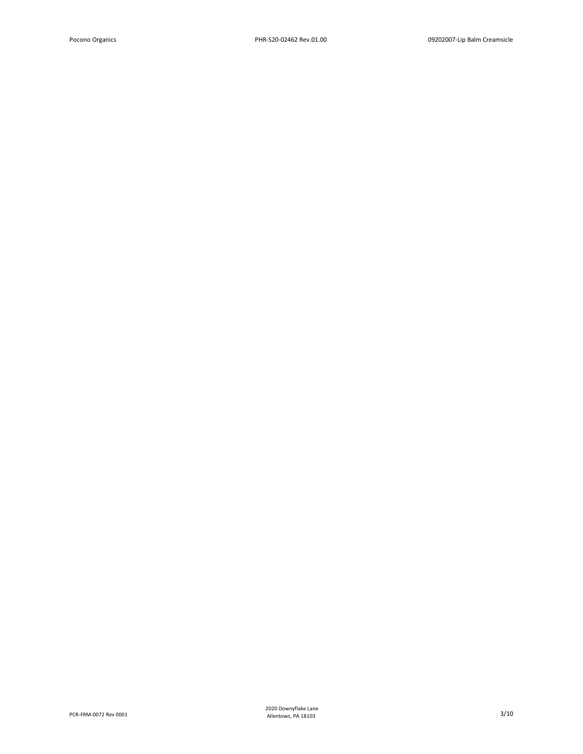PCR-FRM-0072 Rev 0001

2020 Downyflake Lane Allentown, PA 18103 3/10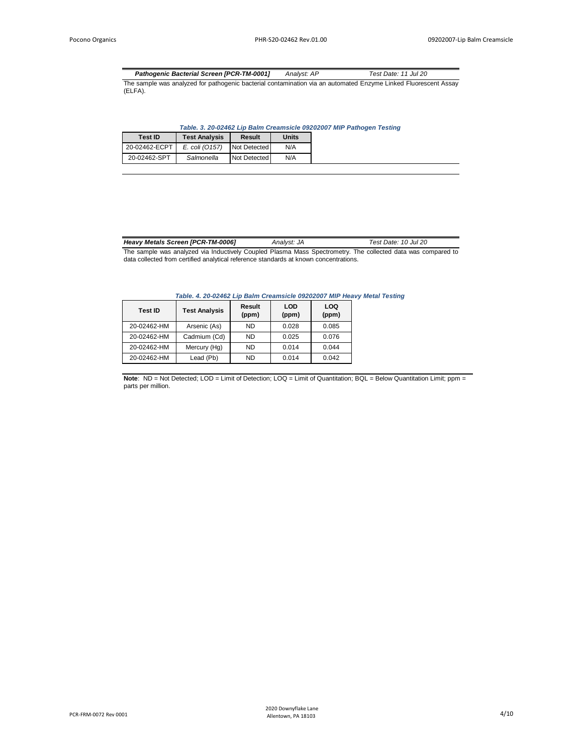The sample was analyzed for pathogenic bacterial contamination via an automated Enzyme Linked Fluorescent Assay (ELFA). *Pathogenic Bacterial Screen [PCR-TM-0001] Analyst: AP Test Date: 11 Jul 20*

| Table. 3. 20-02462 Lip Balm Creamsicle 09202007 MIP Pathogen Testing |
|----------------------------------------------------------------------|
|----------------------------------------------------------------------|

| Test ID       | <b>Test Analysis</b> | Result              | <b>Units</b> |
|---------------|----------------------|---------------------|--------------|
| 20-02462-ECPT | E. coli (0157)       | <b>Not Detected</b> | N/A          |
| 20-02462-SPT  | Salmonella           | Not Detected        | N/A          |

| <b>Heavy Metals Screen [PCR-TM-0006]</b>                                              | Analyst: JA | Test Date: 10 Jul 20                                                                                         |
|---------------------------------------------------------------------------------------|-------------|--------------------------------------------------------------------------------------------------------------|
|                                                                                       |             | The sample was analyzed via Inductively Coupled Plasma Mass Spectrometry. The collected data was compared to |
| data collected from certified analytical reference standards at known concentrations. |             |                                                                                                              |

### *Table. 4. 20-02462 Lip Balm Creamsicle 09202007 MIP Heavy Metal Testing*

| <b>Test ID</b> | <b>Test Analysis</b> | Result<br>(ppm) | LOD<br>(ppm) | LOQ<br>(ppm) |
|----------------|----------------------|-----------------|--------------|--------------|
| 20-02462-HM    | Arsenic (As)         | <b>ND</b>       | 0.028        | 0.085        |
| 20-02462-HM    | Cadmium (Cd)         | ND.             | 0.025        | 0.076        |
| 20-02462-HM    | Mercury (Hg)         | <b>ND</b>       | 0.014        | 0.044        |
| 20-02462-HM    | Lead (Pb)            | <b>ND</b>       | 0.014        | 0.042        |

**Note**: ND = Not Detected; LOD = Limit of Detection; LOQ = Limit of Quantitation; BQL = Below Quantitation Limit; ppm = parts per million.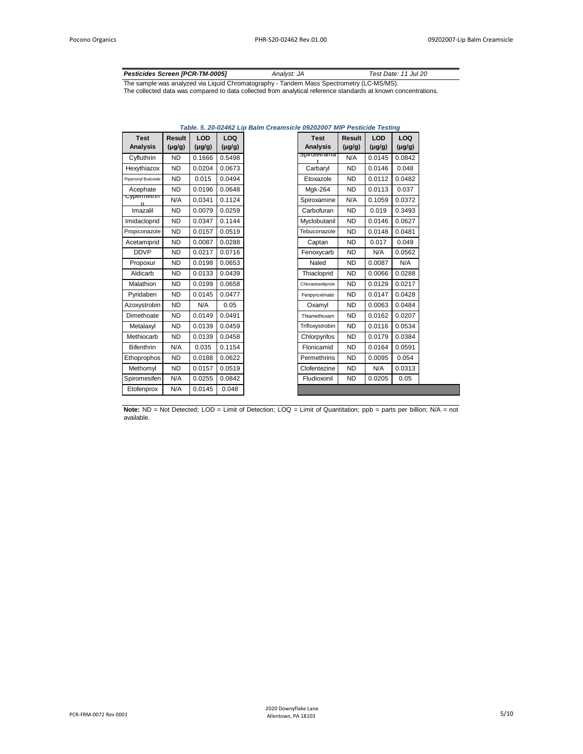| Pesticides Screen [PCR-TM-0005]                                                          | Analyst: JA | Test Date: 11 Jul 20 |  |  |  |
|------------------------------------------------------------------------------------------|-------------|----------------------|--|--|--|
| The sample was analyzed via Liquid Chromatography - Tandem Mass Spectrometry (LC-MS/MS). |             |                      |  |  |  |

The collected data was compared to data collected from analytical reference standards at known concentrations.

| <b>LOD</b><br><b>LOQ</b><br>LOD<br><b>LOQ</b><br><b>Result</b><br>Result<br><b>Test</b><br><b>Test</b><br><b>Analysis</b><br><b>Analysis</b><br>$(\mu g/g)$<br>$(\mu g/g)$<br>$(\mu g/g)$<br>$(\mu g/g)$<br>$(\mu g/g)$<br>spirotetrama<br>Cyfluthrin<br><b>ND</b><br>0.1666<br>0.5498<br>N/A<br>0.0145<br>Carbaryl<br><b>ND</b><br>0.0673<br>Hexythiazox<br>0.0204<br>ND.<br>0.0146<br><b>ND</b><br>0.015<br>0.0494<br>Etoxazole<br>ND.<br>0.0112<br>Piperonyl Butoxide<br><b>ND</b><br>0.0648<br>0.0113<br>0.0196<br>Mgk-264<br><b>ND</b><br>Acephate<br>Cypermethin<br>N/A<br>0.0341<br>0.1124<br>N/A<br>0.1059<br>Spiroxamine<br>Imazalil<br><b>ND</b><br>0.0079<br>0.0259<br><b>ND</b><br>0.019<br>Carbofuran<br>Imidacloprid<br><b>ND</b><br>0.0347<br>0.1144<br>Myclobutanil<br><b>ND</b><br>0.0146<br><b>ND</b><br>0.0157<br>0.0519<br>Tebuconazole<br><b>ND</b><br>0.0148<br>Propiconazole<br><b>ND</b><br>0.0087<br>0.0288<br><b>ND</b><br>0.017<br>Acetamiprid<br>Captan<br><b>DDVP</b><br><b>ND</b><br>0.0217<br>0.0716<br><b>ND</b><br>N/A<br>Fenoxycarb<br><b>ND</b><br>0.0198<br>0.0653<br>Naled<br><b>ND</b><br>0.0087<br>N/A<br>Propoxur<br>0.0133<br>0.0439<br>Aldicarb<br><b>ND</b><br><b>ND</b><br>0.0066<br>Thiacloprid<br><b>ND</b><br>0.0199<br>0.0658<br>0.0129<br>Malathion<br><b>ND</b><br>Chlorantraniliprole<br><b>ND</b><br>0.0145<br>0.0477<br><b>ND</b><br>0.0147<br>Pyridaben<br>Fenpyroximate<br>Azoxystrobin<br><b>ND</b><br>N/A<br>0.05<br><b>ND</b><br>0.0063<br>Oxamyl<br>Dimethoate<br><b>ND</b><br>0.0149<br>0.0491<br><b>ND</b><br>0.0162<br>Thiamethoxam<br><b>ND</b><br>0.0139<br>0.0459<br>0.0116<br>Metalaxyl<br>Trifloxystrobin<br>ND.<br><b>ND</b><br>0.0139<br>0.0179<br>Methiocarb<br>0.0458<br>Chlorpyrifos<br>ND.<br>Flonicamid<br><b>Bifenthrin</b><br>N/A<br>0.035<br>0.1154<br>ND<br>0.0164<br><b>ND</b><br>0.0188<br>0.0622<br>Permethrins<br>ND.<br>0.0095<br>Ethoprophos<br><b>ND</b><br>0.0157<br>0.0519<br>Clofentezine<br>ND<br>N/A<br>Methomyl<br>Spiromesifen<br>N/A<br>0.0255<br>0.0842<br>Fludioxonil<br>ND<br>0.05<br>0.0205<br>N/A<br>0.0145<br>0.048<br>Etofenprox |  |  |  |  |  |
|--------------------------------------------------------------------------------------------------------------------------------------------------------------------------------------------------------------------------------------------------------------------------------------------------------------------------------------------------------------------------------------------------------------------------------------------------------------------------------------------------------------------------------------------------------------------------------------------------------------------------------------------------------------------------------------------------------------------------------------------------------------------------------------------------------------------------------------------------------------------------------------------------------------------------------------------------------------------------------------------------------------------------------------------------------------------------------------------------------------------------------------------------------------------------------------------------------------------------------------------------------------------------------------------------------------------------------------------------------------------------------------------------------------------------------------------------------------------------------------------------------------------------------------------------------------------------------------------------------------------------------------------------------------------------------------------------------------------------------------------------------------------------------------------------------------------------------------------------------------------------------------------------------------------------------------------------------------------------------------------------------------------------------------------------------------------------------------------------------------------------------------|--|--|--|--|--|
| $(\mu g/g)$<br>0.048<br>0.037<br>0.0481<br>0.049<br>0.0591<br>0.054                                                                                                                                                                                                                                                                                                                                                                                                                                                                                                                                                                                                                                                                                                                                                                                                                                                                                                                                                                                                                                                                                                                                                                                                                                                                                                                                                                                                                                                                                                                                                                                                                                                                                                                                                                                                                                                                                                                                                                                                                                                                  |  |  |  |  |  |
| 0.0842<br>0.0482<br>0.0627<br>0.0217<br>0.0207<br>0.0534<br>0.0384                                                                                                                                                                                                                                                                                                                                                                                                                                                                                                                                                                                                                                                                                                                                                                                                                                                                                                                                                                                                                                                                                                                                                                                                                                                                                                                                                                                                                                                                                                                                                                                                                                                                                                                                                                                                                                                                                                                                                                                                                                                                   |  |  |  |  |  |
| 0.0372<br>0.3493<br>0.0562<br>0.0288<br>0.0428<br>0.0484<br>0.0313                                                                                                                                                                                                                                                                                                                                                                                                                                                                                                                                                                                                                                                                                                                                                                                                                                                                                                                                                                                                                                                                                                                                                                                                                                                                                                                                                                                                                                                                                                                                                                                                                                                                                                                                                                                                                                                                                                                                                                                                                                                                   |  |  |  |  |  |
|                                                                                                                                                                                                                                                                                                                                                                                                                                                                                                                                                                                                                                                                                                                                                                                                                                                                                                                                                                                                                                                                                                                                                                                                                                                                                                                                                                                                                                                                                                                                                                                                                                                                                                                                                                                                                                                                                                                                                                                                                                                                                                                                      |  |  |  |  |  |
|                                                                                                                                                                                                                                                                                                                                                                                                                                                                                                                                                                                                                                                                                                                                                                                                                                                                                                                                                                                                                                                                                                                                                                                                                                                                                                                                                                                                                                                                                                                                                                                                                                                                                                                                                                                                                                                                                                                                                                                                                                                                                                                                      |  |  |  |  |  |
|                                                                                                                                                                                                                                                                                                                                                                                                                                                                                                                                                                                                                                                                                                                                                                                                                                                                                                                                                                                                                                                                                                                                                                                                                                                                                                                                                                                                                                                                                                                                                                                                                                                                                                                                                                                                                                                                                                                                                                                                                                                                                                                                      |  |  |  |  |  |
|                                                                                                                                                                                                                                                                                                                                                                                                                                                                                                                                                                                                                                                                                                                                                                                                                                                                                                                                                                                                                                                                                                                                                                                                                                                                                                                                                                                                                                                                                                                                                                                                                                                                                                                                                                                                                                                                                                                                                                                                                                                                                                                                      |  |  |  |  |  |
|                                                                                                                                                                                                                                                                                                                                                                                                                                                                                                                                                                                                                                                                                                                                                                                                                                                                                                                                                                                                                                                                                                                                                                                                                                                                                                                                                                                                                                                                                                                                                                                                                                                                                                                                                                                                                                                                                                                                                                                                                                                                                                                                      |  |  |  |  |  |
|                                                                                                                                                                                                                                                                                                                                                                                                                                                                                                                                                                                                                                                                                                                                                                                                                                                                                                                                                                                                                                                                                                                                                                                                                                                                                                                                                                                                                                                                                                                                                                                                                                                                                                                                                                                                                                                                                                                                                                                                                                                                                                                                      |  |  |  |  |  |
|                                                                                                                                                                                                                                                                                                                                                                                                                                                                                                                                                                                                                                                                                                                                                                                                                                                                                                                                                                                                                                                                                                                                                                                                                                                                                                                                                                                                                                                                                                                                                                                                                                                                                                                                                                                                                                                                                                                                                                                                                                                                                                                                      |  |  |  |  |  |
|                                                                                                                                                                                                                                                                                                                                                                                                                                                                                                                                                                                                                                                                                                                                                                                                                                                                                                                                                                                                                                                                                                                                                                                                                                                                                                                                                                                                                                                                                                                                                                                                                                                                                                                                                                                                                                                                                                                                                                                                                                                                                                                                      |  |  |  |  |  |
|                                                                                                                                                                                                                                                                                                                                                                                                                                                                                                                                                                                                                                                                                                                                                                                                                                                                                                                                                                                                                                                                                                                                                                                                                                                                                                                                                                                                                                                                                                                                                                                                                                                                                                                                                                                                                                                                                                                                                                                                                                                                                                                                      |  |  |  |  |  |
|                                                                                                                                                                                                                                                                                                                                                                                                                                                                                                                                                                                                                                                                                                                                                                                                                                                                                                                                                                                                                                                                                                                                                                                                                                                                                                                                                                                                                                                                                                                                                                                                                                                                                                                                                                                                                                                                                                                                                                                                                                                                                                                                      |  |  |  |  |  |
|                                                                                                                                                                                                                                                                                                                                                                                                                                                                                                                                                                                                                                                                                                                                                                                                                                                                                                                                                                                                                                                                                                                                                                                                                                                                                                                                                                                                                                                                                                                                                                                                                                                                                                                                                                                                                                                                                                                                                                                                                                                                                                                                      |  |  |  |  |  |
|                                                                                                                                                                                                                                                                                                                                                                                                                                                                                                                                                                                                                                                                                                                                                                                                                                                                                                                                                                                                                                                                                                                                                                                                                                                                                                                                                                                                                                                                                                                                                                                                                                                                                                                                                                                                                                                                                                                                                                                                                                                                                                                                      |  |  |  |  |  |
|                                                                                                                                                                                                                                                                                                                                                                                                                                                                                                                                                                                                                                                                                                                                                                                                                                                                                                                                                                                                                                                                                                                                                                                                                                                                                                                                                                                                                                                                                                                                                                                                                                                                                                                                                                                                                                                                                                                                                                                                                                                                                                                                      |  |  |  |  |  |
|                                                                                                                                                                                                                                                                                                                                                                                                                                                                                                                                                                                                                                                                                                                                                                                                                                                                                                                                                                                                                                                                                                                                                                                                                                                                                                                                                                                                                                                                                                                                                                                                                                                                                                                                                                                                                                                                                                                                                                                                                                                                                                                                      |  |  |  |  |  |
|                                                                                                                                                                                                                                                                                                                                                                                                                                                                                                                                                                                                                                                                                                                                                                                                                                                                                                                                                                                                                                                                                                                                                                                                                                                                                                                                                                                                                                                                                                                                                                                                                                                                                                                                                                                                                                                                                                                                                                                                                                                                                                                                      |  |  |  |  |  |
|                                                                                                                                                                                                                                                                                                                                                                                                                                                                                                                                                                                                                                                                                                                                                                                                                                                                                                                                                                                                                                                                                                                                                                                                                                                                                                                                                                                                                                                                                                                                                                                                                                                                                                                                                                                                                                                                                                                                                                                                                                                                                                                                      |  |  |  |  |  |
|                                                                                                                                                                                                                                                                                                                                                                                                                                                                                                                                                                                                                                                                                                                                                                                                                                                                                                                                                                                                                                                                                                                                                                                                                                                                                                                                                                                                                                                                                                                                                                                                                                                                                                                                                                                                                                                                                                                                                                                                                                                                                                                                      |  |  |  |  |  |
|                                                                                                                                                                                                                                                                                                                                                                                                                                                                                                                                                                                                                                                                                                                                                                                                                                                                                                                                                                                                                                                                                                                                                                                                                                                                                                                                                                                                                                                                                                                                                                                                                                                                                                                                                                                                                                                                                                                                                                                                                                                                                                                                      |  |  |  |  |  |
|                                                                                                                                                                                                                                                                                                                                                                                                                                                                                                                                                                                                                                                                                                                                                                                                                                                                                                                                                                                                                                                                                                                                                                                                                                                                                                                                                                                                                                                                                                                                                                                                                                                                                                                                                                                                                                                                                                                                                                                                                                                                                                                                      |  |  |  |  |  |
|                                                                                                                                                                                                                                                                                                                                                                                                                                                                                                                                                                                                                                                                                                                                                                                                                                                                                                                                                                                                                                                                                                                                                                                                                                                                                                                                                                                                                                                                                                                                                                                                                                                                                                                                                                                                                                                                                                                                                                                                                                                                                                                                      |  |  |  |  |  |
|                                                                                                                                                                                                                                                                                                                                                                                                                                                                                                                                                                                                                                                                                                                                                                                                                                                                                                                                                                                                                                                                                                                                                                                                                                                                                                                                                                                                                                                                                                                                                                                                                                                                                                                                                                                                                                                                                                                                                                                                                                                                                                                                      |  |  |  |  |  |
|                                                                                                                                                                                                                                                                                                                                                                                                                                                                                                                                                                                                                                                                                                                                                                                                                                                                                                                                                                                                                                                                                                                                                                                                                                                                                                                                                                                                                                                                                                                                                                                                                                                                                                                                                                                                                                                                                                                                                                                                                                                                                                                                      |  |  |  |  |  |

|  |  | Table. 5. 20-02462 Lip Balm Creamsicle 09202007 MIP Pesticide Testing |  |  |
|--|--|-----------------------------------------------------------------------|--|--|
|  |  |                                                                       |  |  |

**Note:** ND = Not Detected; LOD = Limit of Detection; LOQ = Limit of Quantitation; ppb = parts per billion; N/A = not available.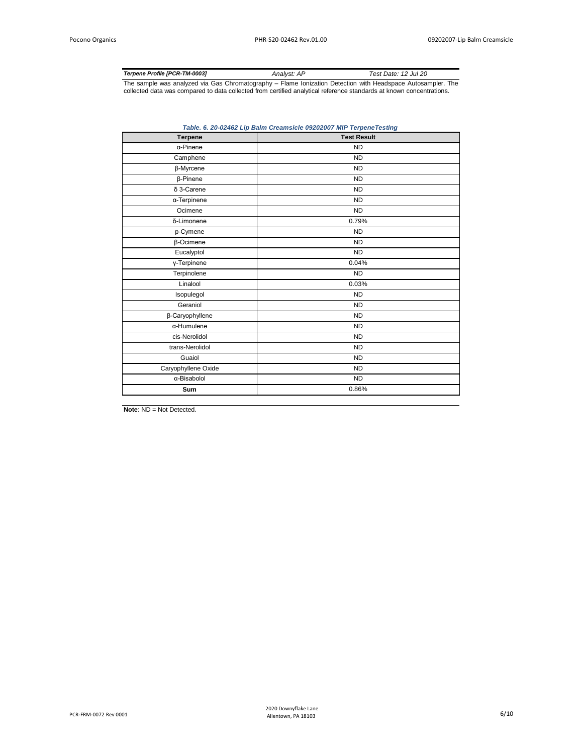| Terpene Profile [PCR-TM-0003] | Analyst: AP | Test Date: 12 Jul 20                                                                                        |
|-------------------------------|-------------|-------------------------------------------------------------------------------------------------------------|
|                               |             | The sample was analyzed via Gas Chromatography – Flame Ionization Detection with Headspace Autosampler. The |

collected data was compared to data collected from certified analytical reference standards at known concentrations.

| Table. 6. 20-02462 Lip Balm Creamsicle 09202007 MIP TerpeneTesting |                    |  |  |
|--------------------------------------------------------------------|--------------------|--|--|
| <b>Terpene</b>                                                     | <b>Test Result</b> |  |  |
| $\alpha$ -Pinene                                                   | <b>ND</b>          |  |  |
| Camphene                                                           | <b>ND</b>          |  |  |
| β-Myrcene                                                          | <b>ND</b>          |  |  |
| $\beta$ -Pinene                                                    | <b>ND</b>          |  |  |
| $\delta$ 3-Carene                                                  | <b>ND</b>          |  |  |
| α-Terpinene                                                        | <b>ND</b>          |  |  |
| Ocimene                                                            | <b>ND</b>          |  |  |
| δ-Limonene                                                         | 0.79%              |  |  |
| p-Cymene                                                           | <b>ND</b>          |  |  |
| β-Ocimene                                                          | <b>ND</b>          |  |  |
| Eucalyptol                                                         | <b>ND</b>          |  |  |
| y-Terpinene                                                        | 0.04%              |  |  |
| Terpinolene                                                        | <b>ND</b>          |  |  |
| Linalool                                                           | 0.03%              |  |  |
| Isopulegol                                                         | <b>ND</b>          |  |  |
| Geraniol                                                           | <b>ND</b>          |  |  |
| β-Caryophyllene                                                    | <b>ND</b>          |  |  |
| α-Humulene                                                         | <b>ND</b>          |  |  |
| cis-Nerolidol                                                      | <b>ND</b>          |  |  |
| trans-Nerolidol                                                    | <b>ND</b>          |  |  |
| Guaiol                                                             | <b>ND</b>          |  |  |
| Caryophyllene Oxide                                                | <b>ND</b>          |  |  |
| α-Bisabolol                                                        | <b>ND</b>          |  |  |
| Sum                                                                | 0.86%              |  |  |
|                                                                    |                    |  |  |

**Note**: ND = Not Detected.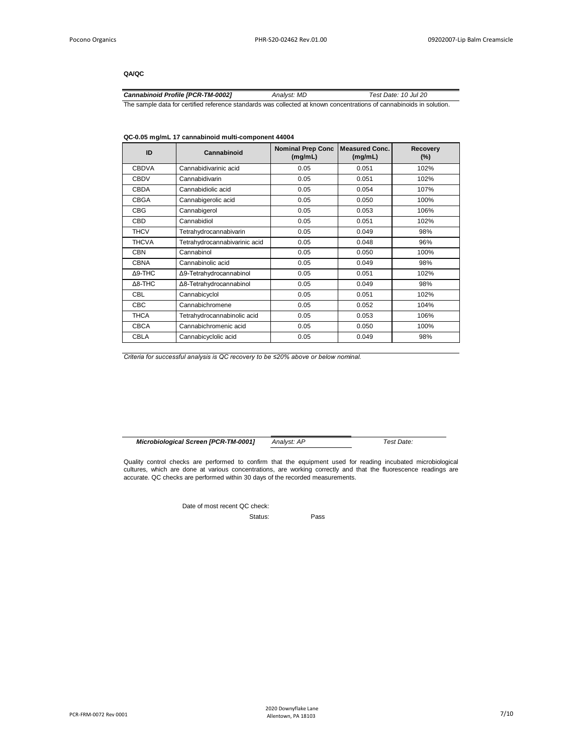### **QA/QC**

| Cannabinoid Profile [PCR-TM-0002]                                                                                    | Analyst: MD | Test Date: 10 Jul 20 |
|----------------------------------------------------------------------------------------------------------------------|-------------|----------------------|
| The sample data for certified reference standards was collected at known concentrations of cannabinoids in solution. |             |                      |

**QC-0.05 mg/mL 17 cannabinoid multi-component 44004**

| ID             | Cannabinoid                   | <b>Nominal Prep Conc</b><br>(mg/mL) | <b>Measured Conc.</b><br>(mg/mL) | <b>Recovery</b><br>$(\%)$ |
|----------------|-------------------------------|-------------------------------------|----------------------------------|---------------------------|
| <b>CBDVA</b>   | Cannabidivarinic acid         | 0.05                                | 0.051                            | 102%                      |
| <b>CBDV</b>    | Cannabidivarin                | 0.05                                | 0.051                            | 102%                      |
| <b>CBDA</b>    | Cannabidiolic acid            | 0.05                                | 0.054                            | 107%                      |
| <b>CBGA</b>    | Cannabigerolic acid           | 0.05                                | 0.050                            | 100%                      |
| <b>CBG</b>     | Cannabigerol                  | 0.05                                | 0.053                            | 106%                      |
| <b>CBD</b>     | Cannabidiol                   | 0.05                                | 0.051                            | 102%                      |
| <b>THCV</b>    | Tetrahydrocannabivarin        | 0.05                                | 0.049                            | 98%                       |
| <b>THCVA</b>   | Tetrahydrocannabivarinic acid | 0.05                                | 0.048                            | 96%                       |
| <b>CBN</b>     | Cannabinol                    | 0.05                                | 0.050                            | 100%                      |
| <b>CBNA</b>    | Cannabinolic acid             | 0.05                                | 0.049                            | 98%                       |
| $\Delta$ 9-THC | ∆9-Tetrahydrocannabinol       | 0.05                                | 0.051                            | 102%                      |
| $\Delta$ 8-THC | ∆8-Tetrahydrocannabinol       | 0.05                                | 0.049                            | 98%                       |
| <b>CBL</b>     | Cannabicyclol                 | 0.05                                | 0.051                            | 102%                      |
| <b>CBC</b>     | Cannabichromene               | 0.05                                | 0.052                            | 104%                      |
| <b>THCA</b>    | Tetrahydrocannabinolic acid   | 0.05                                | 0.053                            | 106%                      |
| <b>CBCA</b>    | Cannabichromenic acid         | 0.05                                | 0.050                            | 100%                      |
| <b>CBLA</b>    | Cannabicyclolic acid          | 0.05                                | 0.049                            | 98%                       |

*Criteria for successful analysis is QC recovery to be ≤20% above or below nominal.*

*Microbiological Screen [PCR-TM-0001] Analyst: AP Test Date:* 

Quality control checks are performed to confirm that the equipment used for reading incubated microbiological cultures, which are done at various concentrations, are working correctly and that the fluorescence readings are accurate. QC checks are performed within 30 days of the recorded measurements.

Date of most recent QC check:

Status: Pass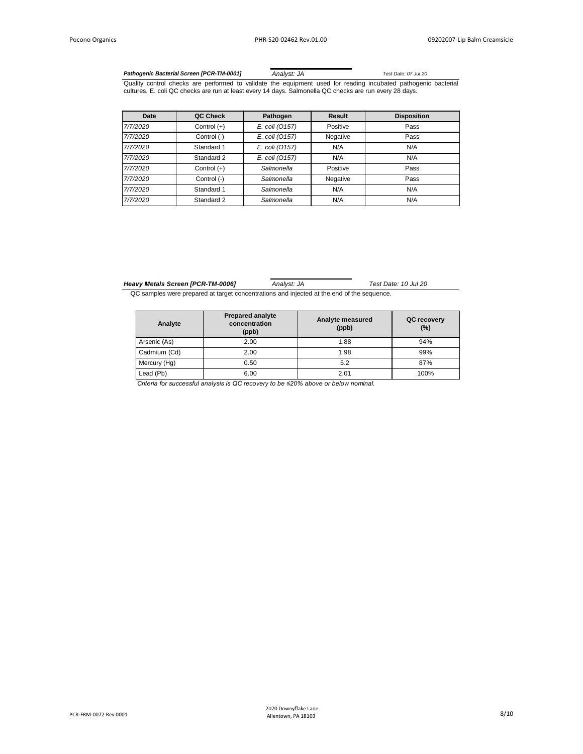Pathogenic Bacterial Screen [PCR-TM-0001] **Analyst: JA Test Date: 07 Jul 20** 

Quality control checks are performed to validate the equipment used for reading incubated pathogenic bacterial cultures. E. coli QC checks are run at least every 14 days. Salmonella QC checks are run every 28 days.

| Date     | QC Check      | Pathogen       | <b>Result</b> | <b>Disposition</b> |
|----------|---------------|----------------|---------------|--------------------|
| 7/7/2020 | Control $(+)$ | E. coli (0157) | Positive      | Pass               |
| 7/7/2020 | Control (-)   | E. coli (0157) | Negative      | Pass               |
| 7/7/2020 | Standard 1    | E. coli (0157) | N/A           | N/A                |
| 7/7/2020 | Standard 2    | E. coli (0157) | N/A           | N/A                |
| 7/7/2020 | Control $(+)$ | Salmonella     | Positive      | Pass               |
| 7/7/2020 | Control (-)   | Salmonella     | Negative      | Pass               |
| 7/7/2020 | Standard 1    | Salmonella     | N/A           | N/A                |
| 7/7/2020 | Standard 2    | Salmonella     | N/A           | N/A                |

|  |  | Heavy Metals Screen [PCR-TM-0006] |  |
|--|--|-----------------------------------|--|
|--|--|-----------------------------------|--|

# *Heavy Metals Screen [PCR-TM-0006] Analyst: JA Test Date: 10 Jul 20*

QC samples were prepared at target concentrations and injected at the end of the sequence.

| Analyte      | <b>Prepared analyte</b><br>concentration<br>(ppb) | Analyte measured<br>(ppb) | QC recovery<br>(%) |  |
|--------------|---------------------------------------------------|---------------------------|--------------------|--|
| Arsenic (As) | 2.00                                              | 1.88                      | 94%                |  |
| Cadmium (Cd) | 2.00                                              | 1.98                      | 99%                |  |
| Mercury (Hg) | 0.50                                              | 5.2                       | 87%                |  |
| Lead (Pb)    | 6.00                                              | 2.01                      | 100%               |  |

*Criteria for successful analysis is QC recovery to be ≤20% above or below nominal.*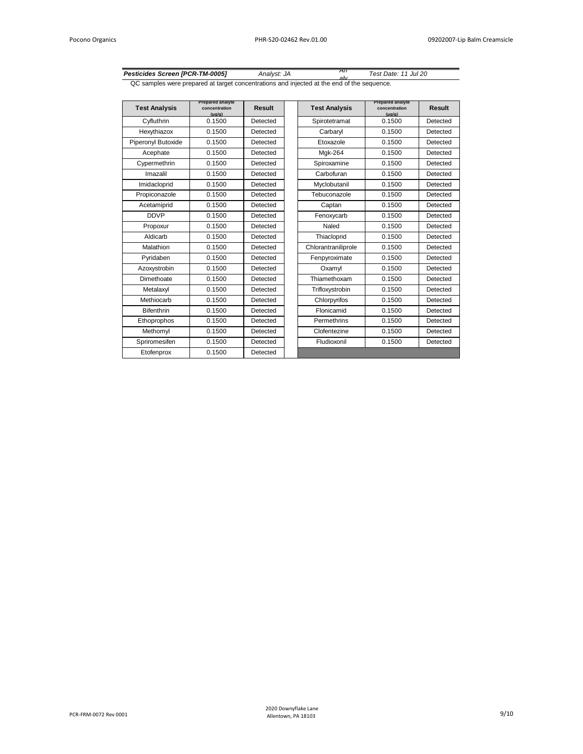| Pesticides Screen [PCR-TM-0005]                                                            | Analyst: JA | An<br>، ۱۱ ت | Test Date: 11 Jul 20 |
|--------------------------------------------------------------------------------------------|-------------|--------------|----------------------|
| QC samples were prepared at target concentrations and injected at the end of the sequence. |             |              |                      |

| <b>Test Analysis</b> | <b>Prepared analyte</b><br>concentration<br>(ua/a) | Result   | <b>Test Analysis</b> | <b>Prepared analyte</b><br>concentration<br>(ua/a) | Result   |
|----------------------|----------------------------------------------------|----------|----------------------|----------------------------------------------------|----------|
| Cyfluthrin           | 0.1500                                             | Detected | Spirotetramat        | 0.1500                                             | Detected |
| Hexythiazox          | 0.1500                                             | Detected | Carbaryl             | 0.1500                                             | Detected |
| Piperonyl Butoxide   | 0.1500                                             | Detected | Etoxazole            | 0.1500                                             | Detected |
| Acephate             | 0.1500                                             | Detected | Mgk-264              | 0.1500                                             | Detected |
| Cypermethrin         | 0.1500                                             | Detected | Spiroxamine          | 0.1500                                             | Detected |
| Imazalil             | 0.1500                                             | Detected | Carbofuran           | 0.1500                                             | Detected |
| Imidacloprid         | 0.1500                                             | Detected | Myclobutanil         | 0.1500                                             | Detected |
| Propiconazole        | 0.1500                                             | Detected | Tebuconazole         | 0.1500                                             | Detected |
| Acetamiprid          | 0.1500                                             | Detected | Captan               | 0.1500                                             | Detected |
| <b>DDVP</b>          | 0.1500                                             | Detected | Fenoxycarb           | 0.1500                                             | Detected |
| Propoxur             | 0.1500                                             | Detected | Naled                | 0.1500                                             | Detected |
| Aldicarb             | 0.1500                                             | Detected | Thiacloprid          | 0.1500                                             | Detected |
| Malathion            | 0.1500                                             | Detected | Chlorantraniliprole  | 0.1500                                             | Detected |
| Pyridaben            | 0.1500                                             | Detected | Fenpyroximate        | 0.1500                                             | Detected |
| Azoxystrobin         | 0.1500                                             | Detected | Oxamyl               | 0.1500                                             | Detected |
| Dimethoate           | 0.1500                                             | Detected | Thiamethoxam         | 0.1500                                             | Detected |
| Metalaxyl            | 0.1500                                             | Detected | Trifloxystrobin      | 0.1500                                             | Detected |
| Methiocarb           | 0.1500                                             | Detected | Chlorpyrifos         | 0.1500                                             | Detected |
| <b>Bifenthrin</b>    | 0.1500                                             | Detected | Flonicamid           | 0.1500                                             | Detected |
| Ethoprophos          | 0.1500                                             | Detected | Permethrins          | 0.1500                                             | Detected |
| Methomyl             | 0.1500                                             | Detected | Clofentezine         | 0.1500                                             | Detected |
| Spriromesifen        | 0.1500                                             | Detected | Fludioxonil          | 0.1500                                             | Detected |
| Etofenprox           | 0.1500                                             | Detected |                      |                                                    |          |